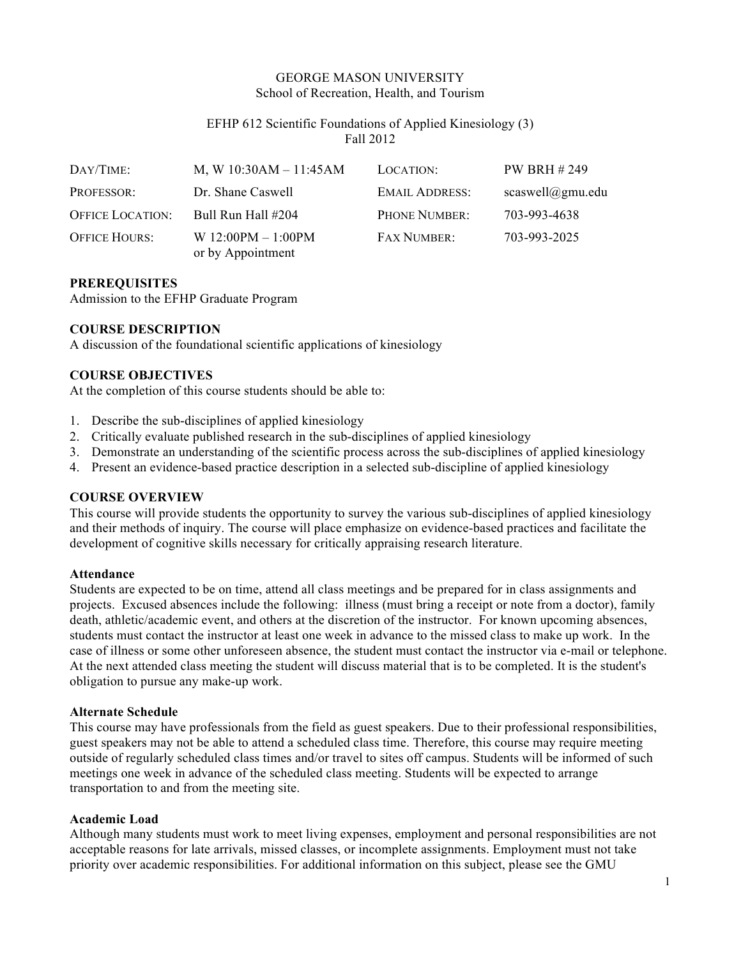# GEORGE MASON UNIVERSITY School of Recreation, Health, and Tourism

# EFHP 612 Scientific Foundations of Applied Kinesiology (3) Fall 2012

| DAY/TIME:               | M, W $10:30AM - 11:45AM$                  | LOCATION:             | PW BRH #249      |
|-------------------------|-------------------------------------------|-----------------------|------------------|
| <b>PROFESSOR:</b>       | Dr. Shane Caswell                         | <b>EMAIL ADDRESS:</b> | scaswell@gmu.edu |
| <b>OFFICE LOCATION:</b> | Bull Run Hall #204                        | PHONE NUMBER:         | 703-993-4638     |
| <b>OFFICE HOURS:</b>    | W $12:00PM - 1:00PM$<br>or by Appointment | <b>FAX NUMBER:</b>    | 703-993-2025     |

### **PREREQUISITES**

Admission to the EFHP Graduate Program

#### **COURSE DESCRIPTION**

A discussion of the foundational scientific applications of kinesiology

### **COURSE OBJECTIVES**

At the completion of this course students should be able to:

- 1. Describe the sub-disciplines of applied kinesiology
- 2. Critically evaluate published research in the sub-disciplines of applied kinesiology
- 3. Demonstrate an understanding of the scientific process across the sub-disciplines of applied kinesiology
- 4. Present an evidence-based practice description in a selected sub-discipline of applied kinesiology

#### **COURSE OVERVIEW**

This course will provide students the opportunity to survey the various sub-disciplines of applied kinesiology and their methods of inquiry. The course will place emphasize on evidence-based practices and facilitate the development of cognitive skills necessary for critically appraising research literature.

#### **Attendance**

Students are expected to be on time, attend all class meetings and be prepared for in class assignments and projects. Excused absences include the following: illness (must bring a receipt or note from a doctor), family death, athletic/academic event, and others at the discretion of the instructor. For known upcoming absences, students must contact the instructor at least one week in advance to the missed class to make up work. In the case of illness or some other unforeseen absence, the student must contact the instructor via e-mail or telephone. At the next attended class meeting the student will discuss material that is to be completed. It is the student's obligation to pursue any make-up work.

#### **Alternate Schedule**

This course may have professionals from the field as guest speakers. Due to their professional responsibilities, guest speakers may not be able to attend a scheduled class time. Therefore, this course may require meeting outside of regularly scheduled class times and/or travel to sites off campus. Students will be informed of such meetings one week in advance of the scheduled class meeting. Students will be expected to arrange transportation to and from the meeting site.

#### **Academic Load**

Although many students must work to meet living expenses, employment and personal responsibilities are not acceptable reasons for late arrivals, missed classes, or incomplete assignments. Employment must not take priority over academic responsibilities. For additional information on this subject, please see the GMU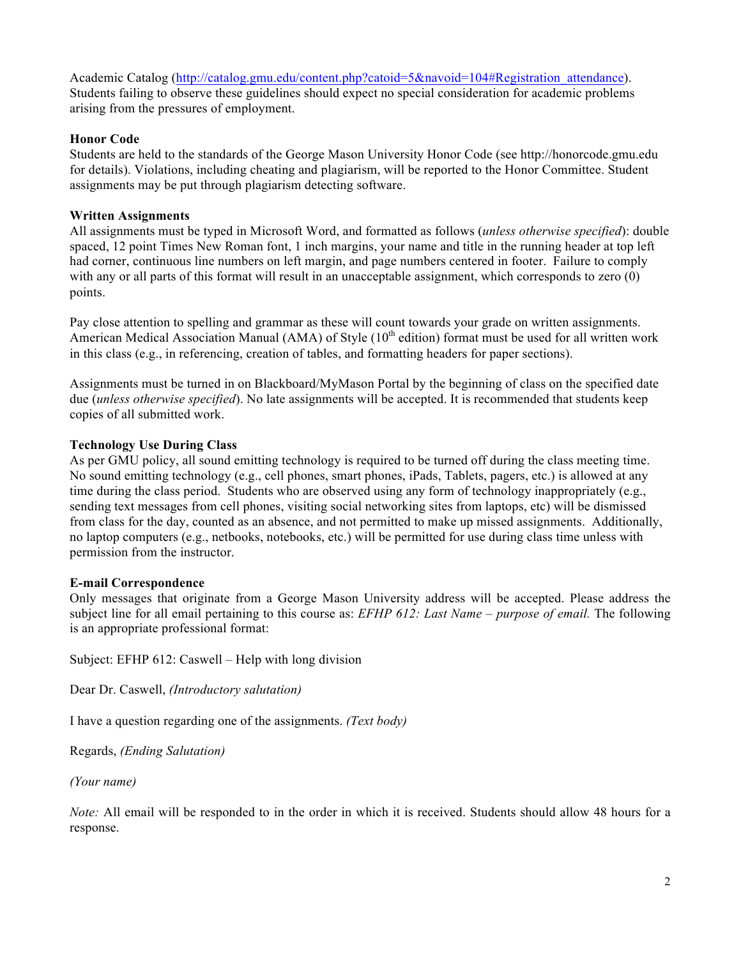Academic Catalog (http://catalog.gmu.edu/content.php?catoid=5&navoid=104#Registration attendance). Students failing to observe these guidelines should expect no special consideration for academic problems arising from the pressures of employment.

# **Honor Code**

Students are held to the standards of the George Mason University Honor Code (see http://honorcode.gmu.edu for details). Violations, including cheating and plagiarism, will be reported to the Honor Committee. Student assignments may be put through plagiarism detecting software.

# **Written Assignments**

All assignments must be typed in Microsoft Word, and formatted as follows (*unless otherwise specified*): double spaced, 12 point Times New Roman font, 1 inch margins, your name and title in the running header at top left had corner, continuous line numbers on left margin, and page numbers centered in footer. Failure to comply with any or all parts of this format will result in an unacceptable assignment, which corresponds to zero (0) points.

Pay close attention to spelling and grammar as these will count towards your grade on written assignments. American Medical Association Manual (AMA) of Style (10<sup>th</sup> edition) format must be used for all written work in this class (e.g., in referencing, creation of tables, and formatting headers for paper sections).

Assignments must be turned in on Blackboard/MyMason Portal by the beginning of class on the specified date due (*unless otherwise specified*). No late assignments will be accepted. It is recommended that students keep copies of all submitted work.

# **Technology Use During Class**

As per GMU policy, all sound emitting technology is required to be turned off during the class meeting time. No sound emitting technology (e.g., cell phones, smart phones, iPads, Tablets, pagers, etc.) is allowed at any time during the class period. Students who are observed using any form of technology inappropriately (e.g., sending text messages from cell phones, visiting social networking sites from laptops, etc) will be dismissed from class for the day, counted as an absence, and not permitted to make up missed assignments. Additionally, no laptop computers (e.g., netbooks, notebooks, etc.) will be permitted for use during class time unless with permission from the instructor.

### **E-mail Correspondence**

Only messages that originate from a George Mason University address will be accepted. Please address the subject line for all email pertaining to this course as: *EFHP 612: Last Name – purpose of email.* The following is an appropriate professional format:

Subject: EFHP 612: Caswell – Help with long division

Dear Dr. Caswell, *(Introductory salutation)*

I have a question regarding one of the assignments. *(Text body)*

Regards, *(Ending Salutation)*

*(Your name)*

*Note:* All email will be responded to in the order in which it is received. Students should allow 48 hours for a response.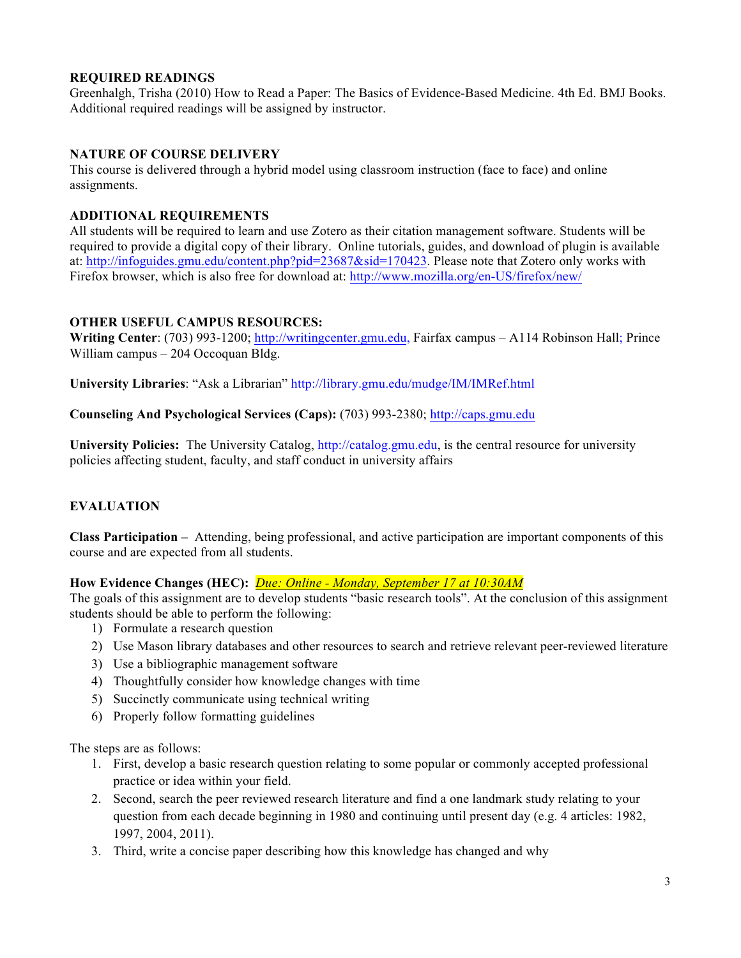# **REQUIRED READINGS**

Greenhalgh, Trisha (2010) How to Read a Paper: The Basics of Evidence-Based Medicine. 4th Ed. BMJ Books. Additional required readings will be assigned by instructor.

# **NATURE OF COURSE DELIVERY**

This course is delivered through a hybrid model using classroom instruction (face to face) and online assignments.

### **ADDITIONAL REQUIREMENTS**

All students will be required to learn and use Zotero as their citation management software. Students will be required to provide a digital copy of their library. Online tutorials, guides, and download of plugin is available at: http://infoguides.gmu.edu/content.php?pid=23687&sid=170423. Please note that Zotero only works with Firefox browser, which is also free for download at: http://www.mozilla.org/en-US/firefox/new/

### **OTHER USEFUL CAMPUS RESOURCES:**

**Writing Center**: (703) 993-1200; http://writingcenter.gmu.edu, Fairfax campus – A114 Robinson Hall; Prince William campus – 204 Occoquan Bldg.

**University Libraries**: "Ask a Librarian" http://library.gmu.edu/mudge/IM/IMRef.html

**Counseling And Psychological Services (Caps):** (703) 993-2380; http://caps.gmu.edu

**University Policies:** The University Catalog, http://catalog.gmu.edu, is the central resource for university policies affecting student, faculty, and staff conduct in university affairs

# **EVALUATION**

**Class Participation –** Attending, being professional, and active participation are important components of this course and are expected from all students.

**How Evidence Changes (HEC):** *Due: Online - Monday, September 17 at 10:30AM*

The goals of this assignment are to develop students "basic research tools". At the conclusion of this assignment students should be able to perform the following:

- 1) Formulate a research question
- 2) Use Mason library databases and other resources to search and retrieve relevant peer-reviewed literature
- 3) Use a bibliographic management software
- 4) Thoughtfully consider how knowledge changes with time
- 5) Succinctly communicate using technical writing
- 6) Properly follow formatting guidelines

The steps are as follows:

- 1. First, develop a basic research question relating to some popular or commonly accepted professional practice or idea within your field.
- 2. Second, search the peer reviewed research literature and find a one landmark study relating to your question from each decade beginning in 1980 and continuing until present day (e.g. 4 articles: 1982, 1997, 2004, 2011).
- 3. Third, write a concise paper describing how this knowledge has changed and why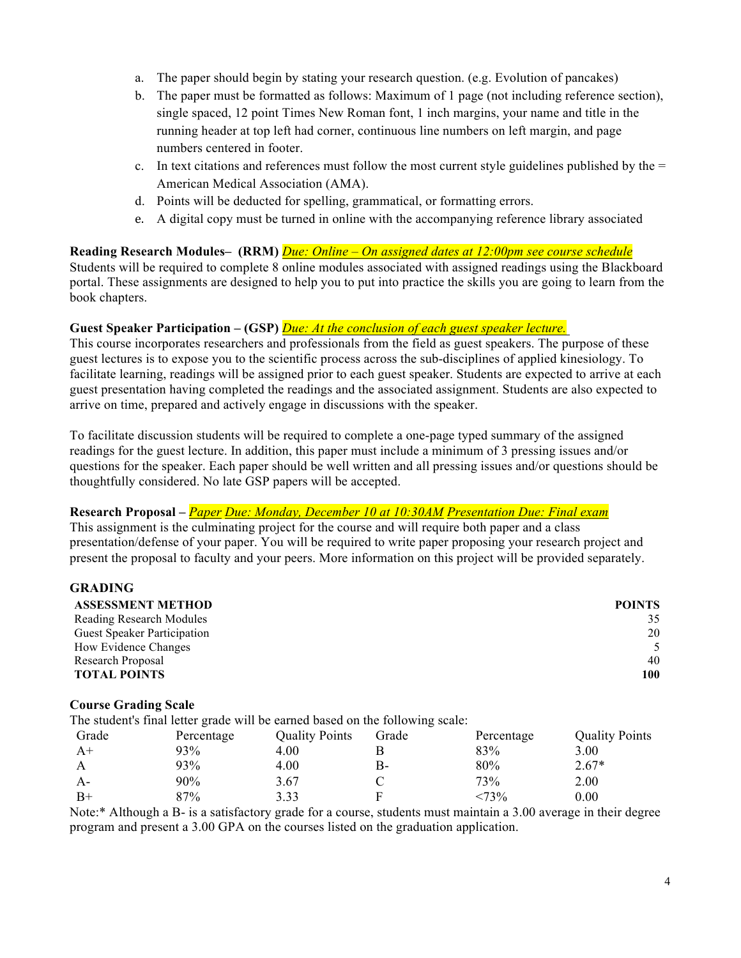- a. The paper should begin by stating your research question. (e.g. Evolution of pancakes)
- b. The paper must be formatted as follows: Maximum of 1 page (not including reference section), single spaced, 12 point Times New Roman font, 1 inch margins, your name and title in the running header at top left had corner, continuous line numbers on left margin, and page numbers centered in footer.
- c. In text citations and references must follow the most current style guidelines published by the  $=$ American Medical Association (AMA).
- d. Points will be deducted for spelling, grammatical, or formatting errors.
- e. A digital copy must be turned in online with the accompanying reference library associated

# **Reading Research Modules– (RRM)** *Due: Online – On assigned dates at 12:00pm see course schedule*

Students will be required to complete 8 online modules associated with assigned readings using the Blackboard portal. These assignments are designed to help you to put into practice the skills you are going to learn from the book chapters.

# **Guest Speaker Participation – (GSP)** *Due: At the conclusion of each guest speaker lecture.*

This course incorporates researchers and professionals from the field as guest speakers. The purpose of these guest lectures is to expose you to the scientific process across the sub-disciplines of applied kinesiology. To facilitate learning, readings will be assigned prior to each guest speaker. Students are expected to arrive at each guest presentation having completed the readings and the associated assignment. Students are also expected to arrive on time, prepared and actively engage in discussions with the speaker.

To facilitate discussion students will be required to complete a one-page typed summary of the assigned readings for the guest lecture. In addition, this paper must include a minimum of 3 pressing issues and/or questions for the speaker. Each paper should be well written and all pressing issues and/or questions should be thoughtfully considered. No late GSP papers will be accepted.

# **Research Proposal –** *Paper Due: Monday, December 10 at 10:30AM Presentation Due: Final exam*

This assignment is the culminating project for the course and will require both paper and a class presentation/defense of your paper. You will be required to write paper proposing your research project and present the proposal to faculty and your peers. More information on this project will be provided separately.

| GRADING                            |               |
|------------------------------------|---------------|
| <b>ASSESSMENT METHOD</b>           | <b>POINTS</b> |
| <b>Reading Research Modules</b>    | 35            |
| <b>Guest Speaker Participation</b> | 20            |
| How Evidence Changes               | 5             |
| Research Proposal                  | 40            |
| <b>TOTAL POINTS</b>                | 100           |
|                                    |               |

### **Course Grading Scale**

**GRADING**

| Course Graumg Searc |                                                                               |                       |       |            |                       |
|---------------------|-------------------------------------------------------------------------------|-----------------------|-------|------------|-----------------------|
|                     | The student's final letter grade will be earned based on the following scale: |                       |       |            |                       |
| Grade               | Percentage                                                                    | <b>Quality Points</b> | Grade | Percentage | <b>Quality Points</b> |
| $A+$                | 93%                                                                           | 4.00                  |       | 83%        | 3.00                  |
|                     | 93%                                                                           | 4.00                  | в-    | 80%        | $2.67*$               |
| $A -$               | 90%                                                                           | 3.67                  |       | 73%        | 2.00                  |
| $B+$                | 87%                                                                           | 3.33                  |       | $< 73\%$   | 0.00                  |
|                     |                                                                               |                       |       |            |                       |

Note:\* Although a B- is a satisfactory grade for a course, students must maintain a 3.00 average in their degree program and present a 3.00 GPA on the courses listed on the graduation application.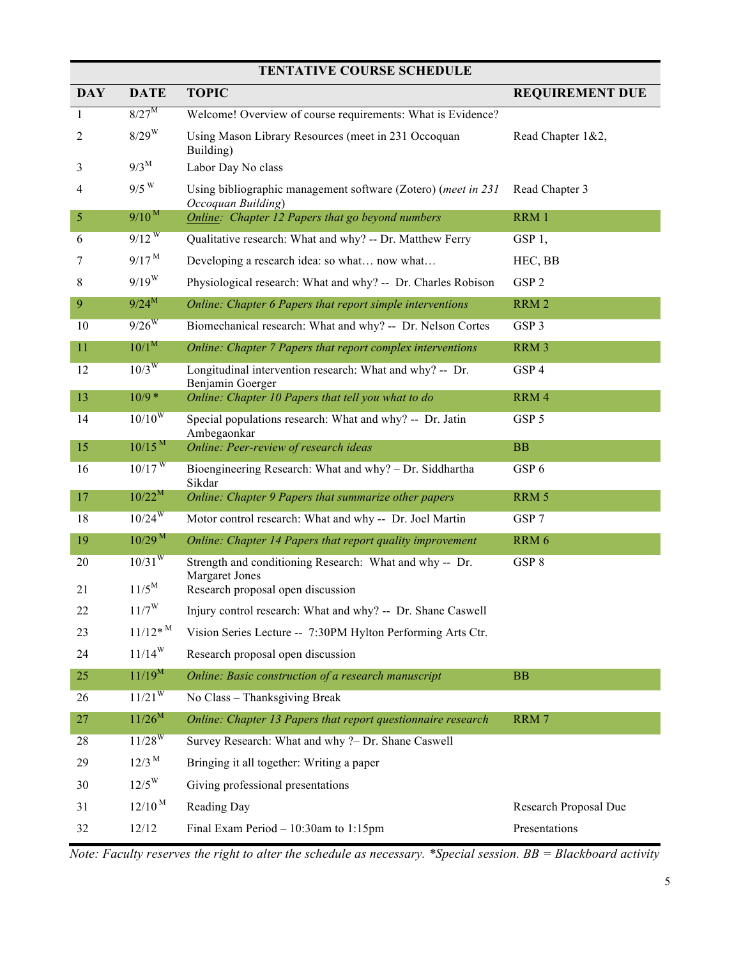| <b>TENTATIVE COURSE SCHEDULE</b> |                       |                                                                                     |                        |  |  |
|----------------------------------|-----------------------|-------------------------------------------------------------------------------------|------------------------|--|--|
| <b>DAY</b>                       | <b>DATE</b>           | <b>TOPIC</b>                                                                        | <b>REQUIREMENT DUE</b> |  |  |
| 1                                | $8/27^M$              | Welcome! Overview of course requirements: What is Evidence?                         |                        |  |  |
| 2                                | $8/29$ <sup>W</sup>   | Using Mason Library Resources (meet in 231 Occoquan<br>Building)                    | Read Chapter 1&2,      |  |  |
| 3                                | $9/3^M$               | Labor Day No class                                                                  |                        |  |  |
| 4                                | $9/5$ <sup>W</sup>    | Using bibliographic management software (Zotero) (meet in 231<br>Occoquan Building) | Read Chapter 3         |  |  |
| $\mathfrak{S}$                   | $9/10^{M}$            | Online: Chapter 12 Papers that go beyond numbers                                    | RRM 1                  |  |  |
| 6                                | $9/12^{W}$            | Qualitative research: What and why? -- Dr. Matthew Ferry                            | GSP <sub>1</sub> ,     |  |  |
| 7                                | 9/17 <sup>M</sup>     | Developing a research idea: so what now what                                        | HEC, BB                |  |  |
| 8                                | $9/19^{W}$            | Physiological research: What and why? -- Dr. Charles Robison                        | GSP <sub>2</sub>       |  |  |
| 9                                | $9/24^M$              | Online: Chapter 6 Papers that report simple interventions                           | RRM 2                  |  |  |
| 10                               | $9/26^{W}$            | Biomechanical research: What and why? -- Dr. Nelson Cortes                          | GSP 3                  |  |  |
| 11                               | 10/1 <sup>M</sup>     | Online: Chapter 7 Papers that report complex interventions                          | RRM 3                  |  |  |
| 12                               | $10/3$ <sup>W</sup>   | Longitudinal intervention research: What and why? -- Dr.<br>Benjamin Goerger        | GSP 4                  |  |  |
| 13                               | $10/9*$               | Online: Chapter 10 Papers that tell you what to do                                  | RRM 4                  |  |  |
| 14                               | 10/10 <sup>W</sup>    | Special populations research: What and why? -- Dr. Jatin<br>Ambegaonkar             | GSP 5                  |  |  |
| 15                               | $10/15^{M}$           | Online: Peer-review of research ideas                                               | BB                     |  |  |
| 16                               | $10/17$ <sup>W</sup>  | Bioengineering Research: What and why? - Dr. Siddhartha<br>Sikdar                   | GSP 6                  |  |  |
| 17                               | $10/22^M$             | Online: Chapter 9 Papers that summarize other papers                                | RRM 5                  |  |  |
| 18                               | $10/24^{W}$           | Motor control research: What and why -- Dr. Joel Martin                             | GSP 7                  |  |  |
| 19                               | $10/29$ <sup>M</sup>  | Online: Chapter 14 Papers that report quality improvement                           | RRM 6                  |  |  |
| 20                               | $10/31^{W}$           | Strength and conditioning Research: What and why -- Dr.<br><b>Margaret Jones</b>    | GSP 8                  |  |  |
| 21                               | $11/5^M$              | Research proposal open discussion                                                   |                        |  |  |
| 22                               | $11/7^W$              | Injury control research: What and why? -- Dr. Shane Caswell                         |                        |  |  |
| 23                               | $11/12*$ <sup>M</sup> | Vision Series Lecture -- 7:30PM Hylton Performing Arts Ctr.                         |                        |  |  |
| 24                               | $11/14^{W}$           | Research proposal open discussion                                                   |                        |  |  |
| 25                               | $11/19^M$             | Online: Basic construction of a research manuscript                                 | <b>BB</b>              |  |  |
| 26                               | $11/21^{W}$           | No Class - Thanksgiving Break                                                       |                        |  |  |
| 27                               | $11/26^M$             | Online: Chapter 13 Papers that report questionnaire research                        | RRM 7                  |  |  |
| 28                               | $11/28^{W}$           | Survey Research: What and why ?- Dr. Shane Caswell                                  |                        |  |  |
| 29                               | $12/3$ <sup>M</sup>   | Bringing it all together: Writing a paper                                           |                        |  |  |
| 30                               | $12/5^{\rm W}$        | Giving professional presentations                                                   |                        |  |  |
| 31                               | $12/10^{M}$           | Reading Day                                                                         | Research Proposal Due  |  |  |
| 32                               | 12/12                 | Final Exam Period $-10:30$ am to 1:15pm                                             | Presentations          |  |  |

*Note: Faculty reserves the right to alter the schedule as necessary. \*Special session. BB = Blackboard activity*